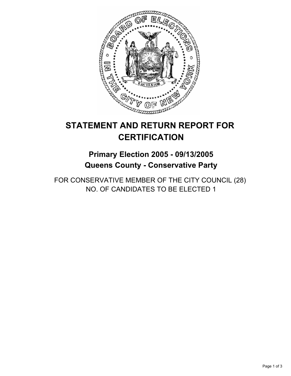

# **STATEMENT AND RETURN REPORT FOR CERTIFICATION**

## **Primary Election 2005 - 09/13/2005 Queens County - Conservative Party**

FOR CONSERVATIVE MEMBER OF THE CITY COUNCIL (28) NO. OF CANDIDATES TO BE ELECTED 1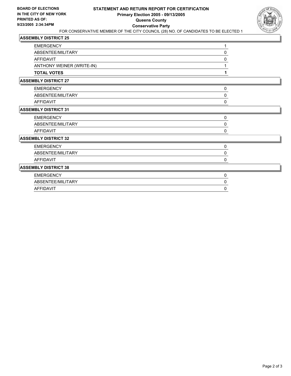

## **ASSEMBLY DISTRICT 25**

| <b>EMERGENCY</b>            |                           |   |  |
|-----------------------------|---------------------------|---|--|
|                             | ABSENTEE/MILITARY         | 0 |  |
| <b>AFFIDAVIT</b>            |                           | 0 |  |
|                             | ANTHONY WEINER (WRITE-IN) |   |  |
| <b>TOTAL VOTES</b>          |                           |   |  |
| <b>ASSEMBLY DISTRICT 27</b> |                           |   |  |
| <b>EMERGENCY</b>            |                           | 0 |  |
|                             | ABSENTEE/MILITARY         | 0 |  |
| <b>AFFIDAVIT</b>            |                           | 0 |  |
| <b>ASSEMBLY DISTRICT 31</b> |                           |   |  |
| <b>EMERGENCY</b>            |                           | 0 |  |
|                             | ABSENTEE/MILITARY         | 0 |  |
| AFFIDAVIT                   |                           | 0 |  |
| <b>ASSEMBLY DISTRICT 32</b> |                           |   |  |
| <b>EMERGENCY</b>            |                           | 0 |  |
|                             | ABSENTEE/MILITARY         | 0 |  |
| <b>AFFIDAVIT</b>            |                           | 0 |  |
| <b>ASSEMBLY DISTRICT 38</b> |                           |   |  |
| <b>EMERGENCY</b>            |                           | 0 |  |
|                             | ABSENTEE/MILITARY         | 0 |  |
| <b>AFFIDAVIT</b>            |                           | 0 |  |
|                             |                           |   |  |